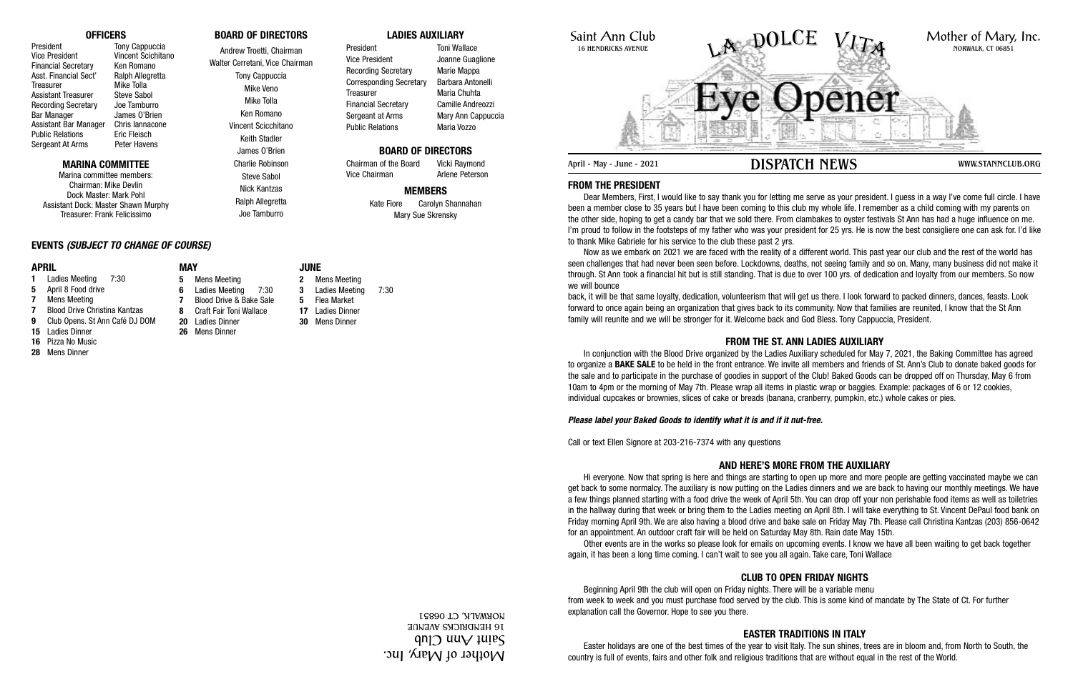

**FROM THE PRESIDENT**

Dear Members, First, I would like to say thank you for letting me serve as your president. I guess in a way I've come full circle. I have been a member close to 35 years but I have been coming to this club my whole life. I remember as a child coming with my parents on the other side, hoping to get a candy bar that we sold there. From clambakes to oyster festivals St Ann has had a huge influence on me. I'm proud to follow in the footsteps of my father who was your president for 25 yrs. He is now the best consigliere one can ask for. I'd like to thank Mike Gabriele for his service to the club these past 2 yrs.

Now as we embark on 2021 we are faced with the reality of a different world. This past year our club and the rest of the world has seen challenges that had never been seen before. Lockdowns, deaths, not seeing family and so on. Many, many business did not make it through. St Ann took a financial hit but is still standing. That is due to over 100 yrs. of dedication and loyalty from our members. So now we will bounce

back, it will be that same loyalty, dedication, volunteerism that will get us there. I look forward to packed dinners, dances, feasts. Look forward to once again being an organization that gives back to its community. Now that families are reunited, I know that the St Ann family will reunite and we will be stronger for it. Welcome back and God Bless. Tony Cappuccia, President.

# **FROM THE ST. ANN LADIES AUXILIARY**

In conjunction with the Blood Drive organized by the Ladies Auxiliary scheduled for May 7, 2021, the Baking Committee has agreed to organize a **BAKE SALE** to be held in the front entrance. We invite all members and friends of St. Ann's Club to donate baked goods for the sale and to participate in the purchase of goodies in support of the Club! Baked Goods can be dropped off on Thursday, May 6 from 10am to 4pm or the morning of May 7th. Please wrap all items in plastic wrap or baggies. Example: packages of 6 or 12 cookies, individual cupcakes or brownies, slices of cake or breads (banana, cranberry, pumpkin, etc.) whole cakes or pies.

# *Please label your Baked Goods to identify what it is and if it nut-free.*

Call or text Ellen Signore at 203-216-7374 with any questions

# **AND HERE'S MORE FROM THE AUXILIARY**

President Toni Wallace Vice President **Joanne Guaglione** Recording Secretary Marie Mappa Corresponding Secretary Barbara Antonelli Treasurer Maria Chuhta Financial Secretary Camille Andreozzi Sergeant at Arms Mary Ann Cappuccia Public Relations Maria Vozzo

Chairman of the Board Vicki Raymond Vice Chairman **Arlene Peterson** 

> Hi everyone. Now that spring is here and things are starting to open up more and more people are getting vaccinated maybe we can get back to some normalcy. The auxiliary is now putting on the Ladies dinners and we are back to having our monthly meetings. We have a few things planned starting with a food drive the week of April 5th. You can drop off your non perishable food items as well as toiletries in the hallway during that week or bring them to the Ladies meeting on April 8th. I will take everything to St. Vincent DePaul food bank on Friday morning April 9th. We are also having a blood drive and bake sale on Friday May 7th. Please call Christina Kantzas (203) 856-0642 for an appointment. An outdoor craft fair will be held on Saturday May 8th. Rain date May 15th. Other events are in the works so please look for emails on upcoming events. I know we have all been waiting to get back together

again, it has been a long time coming. I can't wait to see you all again. Take care, Toni Wallace

# **CLUB TO OPEN FRIDAY NIGHTS**

Beginning April 9th the club will open on Friday nights. There will be a variable menu from week to week and you must purchase food served by the club. This is some kind of mandate by The State of Ct. For further explanation call the Governor. Hope to see you there.

# **EASTER TRADITIONS IN ITALY**

Easter holidays are one of the best times of the year to visit Italy. The sun shines, trees are in bloom and, from North to South, the country is full of events, fairs and other folk and religious traditions that are without equal in the rest of the World.

#### **OFFICERS**

President Tony Cappuccia Vice President Vincent Scichitano Financial Secretary Ken Romano Asst. Financial Sect' Ralph Allegretta Treasurer Mike Tolla Assistant Treasurer Steve Sabol Recording Secretary Joe Tamburro Bar Manager James O'Brien Assistant Bar Manager Chris Iannacone Public Relations<br>
Sergeant At Arms
Bergeant At Arms
Eric Flavens Sergeant At Arms

# **MARINA COMMITTEE**

Marina committee members: Chairman: Mike Devlin Dock Master: Mark Pohl Assistant Dock: Master Shawn Murphy Treasurer: Frank Felicissimo

# **BOARD OF DIRECTORS**

Andrew Troetti, Chairman Walter Cerretani, Vice Chairman Tony Cappuccia Mike Veno Mike Tolla Ken Romano Vincent Scicchitano Keith Stadler James O'Brien Charlie Robinson Steve Sabol

Nick Kantzas

Ralph Allegretta Joe Tamburro

# **LADIES AUXILIARY**

# **BOARD OF DIRECTORS**

# **MEMBERS**

Kate Fiore Carolyn Shannahan Mary Sue Skrensky

# **EVENTS** *(SUBJECT TO CHANGE OF COURSE)*

#### **APRIL**

- **1** Ladies Meeting 7:30
- **5** April 8 Food drive
- **7** Mens Meeting
- **7** Blood Drive Christina Kantzas
- **9** Club Opens. St Ann Café DJ DOM
- **15** Ladies Dinner
- **16** Pizza No Music
- **28** Mens Dinner

**MAY**

**5** Mens Meeting



#### **20** Ladies Dinner **26** Mens Dinner

# **JUNE**

- 
- 
- 

**2** Mens Meeting

- **30** Mens Dinner
- **6** Ladies Meeting 7:30 **7** Blood Drive & Bake Sale **8** Craft Fair Toni Wallace
- 
- **3** Ladies Meeting 7:30
- 
- 

# Saint Ann Club 16 HENDRICKS AVENUE April - May - June - 2021 **DISPATCH NEWS** WWW.STANNCLUB.ORG LA DOLCE VITA

**5** Flea Market

**17** Ladies Dinner

Mother of Mary, Inc. ann ann an 16 HENDRICKS AVENUE NORWALK, CT 06851